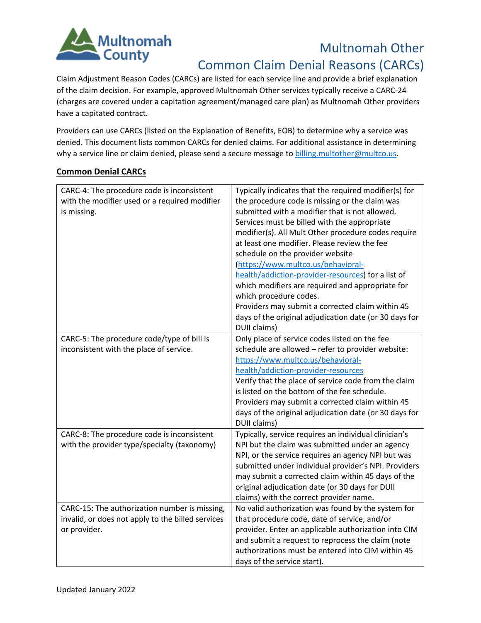

## Multnomah Other Common Claim Denial Reasons (CARCs)

Claim Adjustment Reason Codes (CARCs) are listed for each service line and provide a brief explanation of the claim decision. For example, approved Multnomah Other services typically receive a CARC-24 (charges are covered under a capitation agreement/managed care plan) as Multnomah Other providers have a capitated contract.

Providers can use CARCs (listed on the Explanation of Benefits, EOB) to determine why a service was denied. This document lists common CARCs for denied claims. For additional assistance in determining why a service line or claim denied, please send a secure message to [billing.multother@multco.us.](mailto:billing.multother@multco.us)

## **Common Denial CARCs**

| CARC-4: The procedure code is inconsistent<br>with the modifier used or a required modifier<br>is missing. | Typically indicates that the required modifier(s) for<br>the procedure code is missing or the claim was<br>submitted with a modifier that is not allowed.<br>Services must be billed with the appropriate |
|------------------------------------------------------------------------------------------------------------|-----------------------------------------------------------------------------------------------------------------------------------------------------------------------------------------------------------|
|                                                                                                            | modifier(s). All Mult Other procedure codes require                                                                                                                                                       |
|                                                                                                            | at least one modifier. Please review the fee                                                                                                                                                              |
|                                                                                                            | schedule on the provider website                                                                                                                                                                          |
|                                                                                                            | (https://www.multco.us/behavioral-                                                                                                                                                                        |
|                                                                                                            | health/addiction-provider-resources) for a list of                                                                                                                                                        |
|                                                                                                            | which modifiers are required and appropriate for                                                                                                                                                          |
|                                                                                                            | which procedure codes.                                                                                                                                                                                    |
|                                                                                                            | Providers may submit a corrected claim within 45                                                                                                                                                          |
|                                                                                                            | days of the original adjudication date (or 30 days for                                                                                                                                                    |
|                                                                                                            | DUII claims)                                                                                                                                                                                              |
| CARC-5: The procedure code/type of bill is                                                                 | Only place of service codes listed on the fee                                                                                                                                                             |
| inconsistent with the place of service.                                                                    | schedule are allowed - refer to provider website:                                                                                                                                                         |
|                                                                                                            | https://www.multco.us/behavioral-                                                                                                                                                                         |
|                                                                                                            | health/addiction-provider-resources                                                                                                                                                                       |
|                                                                                                            | Verify that the place of service code from the claim                                                                                                                                                      |
|                                                                                                            | is listed on the bottom of the fee schedule.                                                                                                                                                              |
|                                                                                                            | Providers may submit a corrected claim within 45                                                                                                                                                          |
|                                                                                                            | days of the original adjudication date (or 30 days for                                                                                                                                                    |
|                                                                                                            | DUII claims)                                                                                                                                                                                              |
| CARC-8: The procedure code is inconsistent                                                                 | Typically, service requires an individual clinician's                                                                                                                                                     |
| with the provider type/specialty (taxonomy)                                                                | NPI but the claim was submitted under an agency                                                                                                                                                           |
|                                                                                                            | NPI, or the service requires an agency NPI but was                                                                                                                                                        |
|                                                                                                            | submitted under individual provider's NPI. Providers                                                                                                                                                      |
|                                                                                                            | may submit a corrected claim within 45 days of the                                                                                                                                                        |
|                                                                                                            | original adjudication date (or 30 days for DUII                                                                                                                                                           |
|                                                                                                            | claims) with the correct provider name.                                                                                                                                                                   |
| CARC-15: The authorization number is missing,                                                              | No valid authorization was found by the system for                                                                                                                                                        |
| invalid, or does not apply to the billed services                                                          | that procedure code, date of service, and/or                                                                                                                                                              |
| or provider.                                                                                               | provider. Enter an applicable authorization into CIM                                                                                                                                                      |
|                                                                                                            | and submit a request to reprocess the claim (note                                                                                                                                                         |
|                                                                                                            | authorizations must be entered into CIM within 45                                                                                                                                                         |
|                                                                                                            | days of the service start).                                                                                                                                                                               |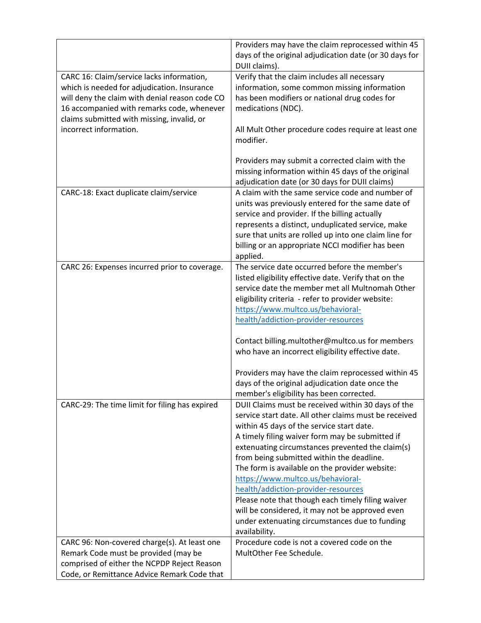|                                                                                                                                                                                                                                                                  | Providers may have the claim reprocessed within 45<br>days of the original adjudication date (or 30 days for<br>DUII claims).                                                                                                                                                                                                                                                                                                                                                                                                                                                                                                                                        |
|------------------------------------------------------------------------------------------------------------------------------------------------------------------------------------------------------------------------------------------------------------------|----------------------------------------------------------------------------------------------------------------------------------------------------------------------------------------------------------------------------------------------------------------------------------------------------------------------------------------------------------------------------------------------------------------------------------------------------------------------------------------------------------------------------------------------------------------------------------------------------------------------------------------------------------------------|
| CARC 16: Claim/service lacks information,<br>which is needed for adjudication. Insurance<br>will deny the claim with denial reason code CO<br>16 accompanied with remarks code, whenever<br>claims submitted with missing, invalid, or<br>incorrect information. | Verify that the claim includes all necessary<br>information, some common missing information<br>has been modifiers or national drug codes for<br>medications (NDC).<br>All Mult Other procedure codes require at least one<br>modifier.                                                                                                                                                                                                                                                                                                                                                                                                                              |
|                                                                                                                                                                                                                                                                  | Providers may submit a corrected claim with the<br>missing information within 45 days of the original<br>adjudication date (or 30 days for DUII claims)                                                                                                                                                                                                                                                                                                                                                                                                                                                                                                              |
| CARC-18: Exact duplicate claim/service                                                                                                                                                                                                                           | A claim with the same service code and number of<br>units was previously entered for the same date of<br>service and provider. If the billing actually<br>represents a distinct, unduplicated service, make<br>sure that units are rolled up into one claim line for<br>billing or an appropriate NCCI modifier has been<br>applied.                                                                                                                                                                                                                                                                                                                                 |
| CARC 26: Expenses incurred prior to coverage.                                                                                                                                                                                                                    | The service date occurred before the member's<br>listed eligibility effective date. Verify that on the<br>service date the member met all Multnomah Other<br>eligibility criteria - refer to provider website:<br>https://www.multco.us/behavioral-<br>health/addiction-provider-resources<br>Contact billing.multother@multco.us for members<br>who have an incorrect eligibility effective date.<br>Providers may have the claim reprocessed within 45<br>days of the original adjudication date once the<br>member's eligibility has been corrected.                                                                                                              |
| CARC-29: The time limit for filing has expired<br>CARC 96: Non-covered charge(s). At least one                                                                                                                                                                   | DUII Claims must be received within 30 days of the<br>service start date. All other claims must be received<br>within 45 days of the service start date.<br>A timely filing waiver form may be submitted if<br>extenuating circumstances prevented the claim(s)<br>from being submitted within the deadline.<br>The form is available on the provider website:<br>https://www.multco.us/behavioral-<br>health/addiction-provider-resources<br>Please note that though each timely filing waiver<br>will be considered, it may not be approved even<br>under extenuating circumstances due to funding<br>availability.<br>Procedure code is not a covered code on the |
| Remark Code must be provided (may be<br>comprised of either the NCPDP Reject Reason<br>Code, or Remittance Advice Remark Code that                                                                                                                               | MultOther Fee Schedule.                                                                                                                                                                                                                                                                                                                                                                                                                                                                                                                                                                                                                                              |